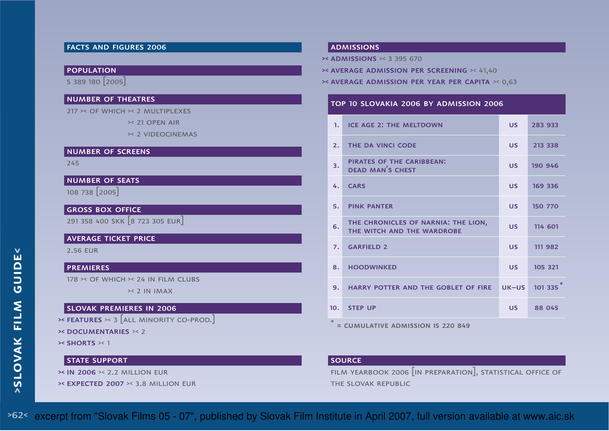## facts and figures 2006

### population

5 389 180 [2005]

#### number of theatres

217 >< of which >< 2 multiplexes

>< 21 open air

>< 2 videocinemas

#### number of screens

245

## number of seats

108 738 [2005]

## **GROSS BOX OFFICE**

291 358 400 skk [8 723 305 eur]

#### average ticket price

2.56 eur

## premieres

178 >< of which >< 24 in film clubs

>< 2 in imax

### slovak premieres in 2006

 $\triangleright$ < Features  $\triangleright$ < 3  $[$ all minority co-prod. $]$ 

>< documentaries >< <sup>2</sup>

**>< SHORTS ><** 1

### STATE SUPPORT

>< in 2006 >< 2.2 million eur

>< expected 2007 >< 3.8 million eur

#### admissions

>< admissions >< 3 395 670

- >< average admission per screening >< 41,40
- >< average admission per year per capita >< 0,63

#### top 10 slovakia 2006 by admission 2006

| 1.                                           | <b>ICE AGE 2: THE MELTDOWN</b>                                    | <b>US</b> | 283 933 |  |  |  |  |
|----------------------------------------------|-------------------------------------------------------------------|-----------|---------|--|--|--|--|
| 2.                                           | THE DA VINCI CODE                                                 | <b>US</b> | 213 338 |  |  |  |  |
| 3.                                           | PIRATES OF THE CARIBBEAN:<br><b>DEAD MAN'S CHEST</b>              | <b>US</b> | 190 946 |  |  |  |  |
| 4.                                           | <b>CARS</b>                                                       | <b>US</b> | 169 336 |  |  |  |  |
| 5.                                           | <b>PINK PANTER</b>                                                | <b>US</b> | 150 770 |  |  |  |  |
| 6.                                           | THE CHRONICLES OF NARNIA: THE LION,<br>THE WITCH AND THE WARDROBE | <b>US</b> | 114 601 |  |  |  |  |
| 7.                                           | <b>GARFIELD 2</b>                                                 | <b>US</b> | 111 982 |  |  |  |  |
| 8.                                           | <b>HOODWINKED</b>                                                 | <b>US</b> | 105 321 |  |  |  |  |
| 9.                                           | HARRY POTTER AND THE GOBLET OF FIRE                               | $UK-US$   | 101 335 |  |  |  |  |
| 10.                                          | <b>STEP UP</b>                                                    | <b>US</b> | 88 045  |  |  |  |  |
| $\star$<br>= CUMULATIVE ADMISSION IS 220 849 |                                                                   |           |         |  |  |  |  |

source

 film yearbook 2006 [in preparation], statistical office ofthe slovak republic

>62< excerpt from "Slovak Films 05 - 07", published by Slovak Film Institute in April 2007, full version available at www.aic.sk

**k**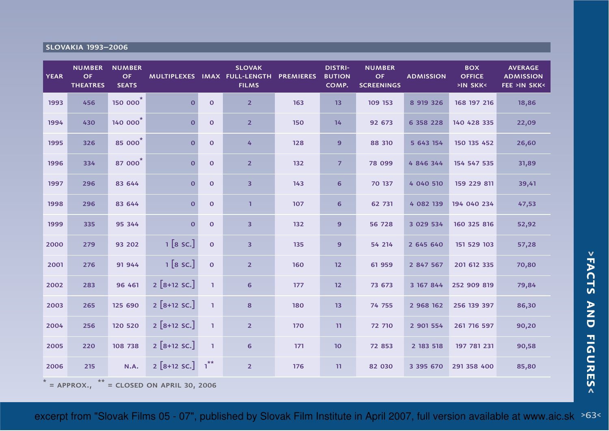## slovakia 1993–2006

| <b>YEAR</b> | <b>NUMBER</b><br>OF<br><b>THEATRES</b>           | <b>NUMBER</b><br><b>OF</b><br><b>SEATS</b> |                        |                | <b>SLOVAK</b><br>MULTIPLEXES IMAX FULL-LENGTH<br><b>FILMS</b> | <b>PREMIERES</b> | <b>DISTRI-</b><br><b>BUTION</b><br>COMP. | <b>NUMBER</b><br><b>OF</b><br><b>SCREENINGS</b> | <b>ADMISSION</b> | <b>BOX</b><br><b>OFFICE</b><br>>IN SKK< | <b>AVERAGE</b><br><b>ADMISSION</b><br><b>FEE &gt;IN SKK&lt;</b> |
|-------------|--------------------------------------------------|--------------------------------------------|------------------------|----------------|---------------------------------------------------------------|------------------|------------------------------------------|-------------------------------------------------|------------------|-----------------------------------------|-----------------------------------------------------------------|
| 1993        | 456                                              | 150 000 <sup>*</sup>                       | $\overline{0}$         | $\mathbf 0$    | $\overline{2}$                                                | 163              | 13                                       | 109 153                                         | 8 9 19 3 26      | 168 197 216                             | 18,86                                                           |
| 1994        | 430                                              | 140 000 <sup>*</sup>                       | $\mathbf 0$            | $\mathbf{o}$   | $\overline{2}$                                                | 150              | 14                                       | 92 673                                          | 6 358 228        | 140 428 335                             | 22,09                                                           |
| 1995        | 326                                              | 85 000 <sup>*</sup>                        | $\mathbf{o}$           | $\mathbf 0$    | 4                                                             | 128              | 9                                        | 88 310                                          | 5 643 154        | 150 135 452                             | 26,60                                                           |
| 1996        | 334                                              | 87 000 <sup>*</sup>                        | $\mathbf{o}$           | $\mathbf 0$    | $\overline{2}$                                                | 132              | $\overline{7}$                           | 78 099                                          | 4 846 344        | 154 547 535                             | 31,89                                                           |
| 1997        | 296                                              | 83 644                                     | $\mathbf{O}$           | $\mathbf 0$    | 3                                                             | 143              | 6                                        | 70 137                                          | 4 040 510        | 159 229 811                             | 39,41                                                           |
| 1998        | 296                                              | 83 644                                     | $\mathbf{o}$           | $\mathbf 0$    | $\mathbf{1}$                                                  | 107              | 6                                        | 62 731                                          | 4 082 139        | 194 040 234                             | 47,53                                                           |
| 1999        | 335                                              | 95 344                                     | $\mathbf{o}$           | $\mathbf 0$    | 3                                                             | 132              | 9                                        | 56 728                                          | 3 029 534        | 160 325 816                             | 52,92                                                           |
| 2000        | 279                                              | 93 202                                     | 1 [8 sc.]              | $\mathbf{O}$   | 3                                                             | 135              | 9                                        | 54 214                                          | 2 645 640        | 151 529 103                             | 57,28                                                           |
| 2001        | 276                                              | 91 944                                     | 1 [8 sc.]              | $\overline{0}$ | $\overline{2}$                                                | 160              | 12                                       | 61 959                                          | 2 847 567        | 201 612 335                             | 70,80                                                           |
| 2002        | 283                                              | 96 461                                     | $2 [8+12$ SC.]         | $\mathbf{1}$   | 6                                                             | 177              | 12                                       | 73 673                                          | 3 167 844        | 252 909 819                             | 79,84                                                           |
| 2003        | 265                                              | 125 690                                    | $2 [8+12$ SC.]         | $\mathbf{1}$   | 8                                                             | 180              | 13                                       | 74 755                                          | 2 968 162        | 256 139 397                             | 86,30                                                           |
| 2004        | 256                                              | 120 520                                    | $2 [8+12$ SC.]         | $\mathbf{1}$   | 2 <sup>2</sup>                                                | 170              | 11                                       | 72 710                                          | 2 901 554        | 261 716 597                             | 90,20                                                           |
| 2005        | 220                                              | 108 738                                    | $2 [8+12$ SC.]         | $\mathbf{1}$   | 6                                                             | 171              | 10                                       | 72 853                                          | 2 183 518        | 197 781 231                             | 90,58                                                           |
| 2006        | 215                                              | N.A.                                       | $2[8+12$ SC.] $1^{**}$ |                | $\overline{2}$                                                | 176              | 11                                       | 82 030                                          | 3 395 670        | 291 358 400                             | 85,80                                                           |
|             | **<br>$=$ APPROX.,<br>= CLOSED ON APRIL 30, 2006 |                                            |                        |                |                                                               |                  |                                          |                                                 |                  |                                         |                                                                 |

excerpt from "Slovak Films 05 - 07", published by Slovak Film Institute in April 2007, full version available at www.aic.sk >63<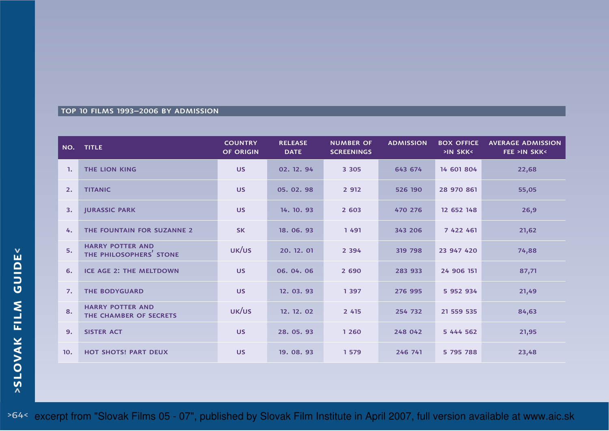## top 10 films 1993–2006 by admission

| NO. | <b>TITLE</b>                                       | <b>COUNTRY</b><br><b>OF ORIGIN</b> | <b>RELEASE</b><br><b>DATE</b> | <b>NUMBER OF</b><br><b>SCREENINGS</b> | <b>ADMISSION</b> | <b>BOX OFFICE</b><br>>IN SKK< | <b>AVERAGE ADMISSION</b><br><b>FEE &gt;IN SKK&lt;</b> |
|-----|----------------------------------------------------|------------------------------------|-------------------------------|---------------------------------------|------------------|-------------------------------|-------------------------------------------------------|
| -1. | <b>THE LION KING</b>                               | <b>US</b>                          | 02. 12. 94                    | 3 3 0 5                               | 643 674          | 14 601 804                    | 22,68                                                 |
| 2.  | <b>TITANIC</b>                                     | <b>US</b>                          | 05.02.98                      | 2 9 12                                | 526 190          | 28 970 861                    | 55,05                                                 |
| 3.  | <b>JURASSIC PARK</b>                               | <b>US</b>                          | 14. 10. 93                    | 2 603                                 | 470 276          | 12 652 148                    | 26,9                                                  |
| 4.  | THE FOUNTAIN FOR SUZANNE 2                         | <b>SK</b>                          | 18.06.93                      | 1491                                  | 343 206          | 7 422 461                     | 21,62                                                 |
| 5.  | <b>HARRY POTTER AND</b><br>THE PHILOSOPHERS' STONE | UK/US                              | 20. 12. 01                    | 2 3 9 4                               | 319 798          | 23 947 420                    | 74,88                                                 |
| 6.  | <b>ICE AGE 2: THE MELTDOWN</b>                     | <b>US</b>                          | 06.04.06                      | 2 6 9 0                               | 283 933          | 24 906 151                    | 87,71                                                 |
| 7.  | <b>THE BODYGUARD</b>                               | <b>US</b>                          | 12.03.93                      | 1 3 9 7                               | 276 995          | 5 952 934                     | 21,49                                                 |
| 8.  | <b>HARRY POTTER AND</b><br>THE CHAMBER OF SECRETS  | UK/US                              | 12. 12. 02                    | 2 4 1 5                               | 254 732          | 21 559 535                    | 84,63                                                 |
| 9.  | <b>SISTER ACT</b>                                  | <b>US</b>                          | 28.05.93                      | 1 2 6 0                               | 248 042          | 5 444 562                     | 21,95                                                 |
| 10. | <b>HOT SHOTS! PART DEUX</b>                        | <b>US</b>                          | 19.08.93                      | 1 5 7 9                               | 246 741          | 5 795 788                     | 23,48                                                 |

>64< excerpt from "Slovak Films 05 - 07", published by Slovak Film Institute in April 2007, full version available at www.aic.sk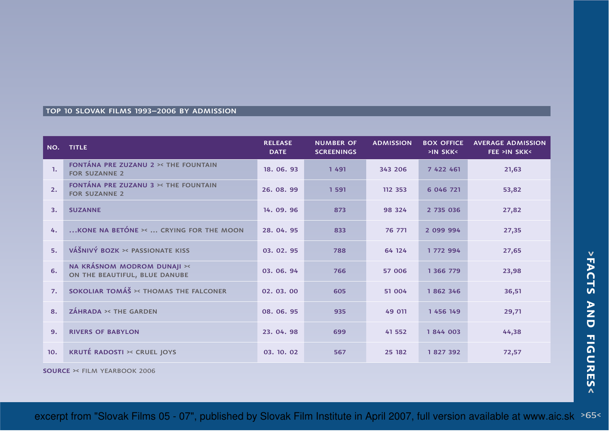## top 10 slovak films 1993–2006 by admission

| NO.          | <b>TITLE</b>                                                 | <b>RELEASE</b><br><b>DATE</b> | <b>NUMBER OF</b><br><b>SCREENINGS</b> | <b>ADMISSION</b> | <b>BOX OFFICE</b><br>>IN SKK< | <b>AVERAGE ADMISSION</b><br><b>FEE &gt;IN SKK&lt;</b> |
|--------------|--------------------------------------------------------------|-------------------------------|---------------------------------------|------------------|-------------------------------|-------------------------------------------------------|
| $\mathbf{1}$ | FONTÁNA PRE ZUZANU 2 >< THE FOUNTAIN<br><b>FOR SUZANNE 2</b> | 18.06.93                      | 1491                                  | 343 206          | 7 422 461                     | 21,63                                                 |
| 2.           | FONTÁNA PRE ZUZANU 3 >< THE FOUNTAIN<br><b>FOR SUZANNE 2</b> | 26.08.99                      | 1 5 9 1                               | 112 353          | 6 046 721                     | 53,82                                                 |
| 3.           | <b>SUZANNE</b>                                               | 14.09.96                      | 873                                   | 98 324           | 2 735 036                     | 27,82                                                 |
| 4.           | KONE NA BETÓNE ><  CRYING FOR THE MOON                       | 28.04.95                      | 833                                   | 76 771           | 2 099 994                     | 27,35                                                 |
| 5.           | VÁŠNIVÝ BOZK >< PASSIONATE KISS                              | 03.02.95                      | 788                                   | 64 124           | 1 772 994                     | 27,65                                                 |
| 6.           | NA KRÁSNOM MODROM DUNAJI ><<br>ON THE BEAUTIFUL, BLUE DANUBE | 03.06.94                      | 766                                   | 57 006           | 1 366 779                     | 23,98                                                 |
| 7.           | SOKOLIAR TOMÁŠ >< THOMAS THE FALCONER                        | 02.03.00                      | 605                                   | 51 004           | 1862346                       | 36,51                                                 |
| 8.           | <b>ZÁHRADA &gt;&lt; THE GARDEN</b>                           | 08.06.95                      | 935                                   | 49 011           | 1 456 149                     | 29,71                                                 |
| 9.           | <b>RIVERS OF BABYLON</b>                                     | 23.04.98                      | 699                                   | 41 552           | 1844 003                      | 44,38                                                 |
| 10.          | <b>KRUTÉ RADOSTI &gt;&lt; CRUEL JOYS</b>                     | 03.10.02                      | 567                                   | 25 182           | 1827392                       | 72,57                                                 |

source >< film yearbook 2006

excerpt from "Slovak Films 05 - 07", published by Slovak Film Institute in April 2007, full version available at www.aic.sk >65<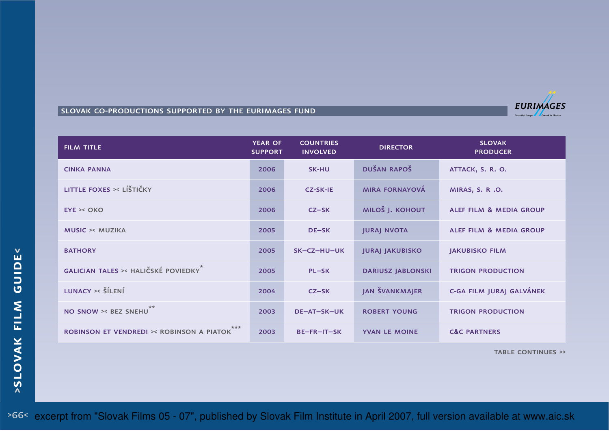### slovak co-productions supported by the eurimages fund



TABLE CONTINUES >>

**<**

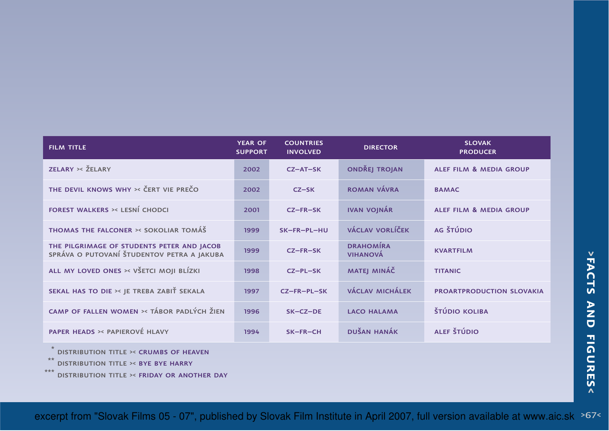| <b>FILM TITLE</b>                                                                        | <b>YEAR OF</b><br><b>SUPPORT</b> | <b>COUNTRIES</b><br><b>INVOLVED</b> | <b>DIRECTOR</b>                     | <b>SLOVAK</b><br><b>PRODUCER</b>   |
|------------------------------------------------------------------------------------------|----------------------------------|-------------------------------------|-------------------------------------|------------------------------------|
| ZELARY >< ŽELARY                                                                         | 2002                             | $CZ - AT - SK$                      | <b>ONDŘEJ TROJAN</b>                | ALEF FILM & MEDIA GROUP            |
| THE DEVIL KNOWS WHY >< ČERT VIE PREČO                                                    | 2002                             | $CZ-SK$                             | ROMAN VÁVRA                         | <b>BAMAC</b>                       |
| <b>FOREST WALKERS &gt;&lt; LESNÍ CHODCI</b>                                              | 2001                             | $CZ-FR-SK$                          | <b>IVAN VOJNÁR</b>                  | <b>ALEF FILM &amp; MEDIA GROUP</b> |
| <b>THOMAS THE FALCONER &gt;&lt; SOKOLIAR TOMÁŠ</b>                                       | 1999                             | SK-FR-PL-HU                         | VÁCLAV VORLÍČEK                     | AG ŠTÚDIO                          |
| THE PILGRIMAGE OF STUDENTS PETER AND JACOB<br>SPRÁVA O PUTOVANÍ ŠTUDENTOV PETRA A JAKUBA | 1999                             | $CZ-FR-SK$                          | <b>DRAHOMÍRA</b><br><b>VIHANOVÁ</b> | <b>KVARTFILM</b>                   |
| ALL MY LOVED ONES >< VŠETCI MOJI BLÍZKI                                                  | 1998                             | $CZ-PL-SK$                          | MATEJ MINÁČ                         | <b>TITANIC</b>                     |
| SEKAL HAS TO DIE >< JE TREBA ZABIŤ SEKALA                                                | 1997                             | CZ-FR-PL-SK                         | <b>VÁCLAV MICHÁLEK</b>              | PROARTPRODUCTION SLOVAKIA          |
| CAMP OF FALLEN WOMEN >< TÁBOR PADLÝCH ŽIEN                                               | 1996                             | $SK-CZ-DE$                          | <b>LACO HALAMA</b>                  | <b>ŠTÚDIO KOLIBA</b>               |
| PAPER HEADS >< PAPIEROVÉ HLAVY                                                           | 1994                             | SK-FR-CH                            | <b>DUŠAN HANÁK</b>                  | ALEF ŠTÚDIO                        |

\*distribution title >< crumbs of heaven

\*\*distribution title >< bye bye harry

\*\*\*distribution title >< friday or another day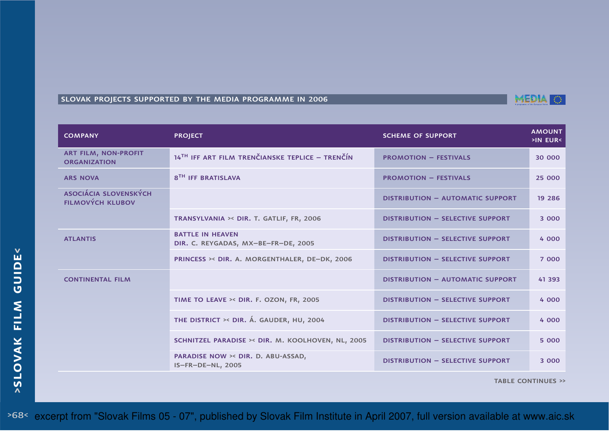# slovak projects supported by the media programme in 2006

| <b>COMPANY</b>                                          | <b>PROJECT</b>                                                 | <b>SCHEME OF SUPPORT</b>                | <b>AMOUNT</b><br>>IN EUR< |
|---------------------------------------------------------|----------------------------------------------------------------|-----------------------------------------|---------------------------|
| <b>ART FILM, NON-PROFIT</b><br><b>ORGANIZATION</b>      | 14TH IFF ART FILM TRENČIANSKE TEPLICE - TRENČÍN                | <b>PROMOTION - FESTIVALS</b>            | 30 000                    |
| <b>ARS NOVA</b>                                         | 8 <sup>TH</sup> IFF BRATISLAVA                                 | <b>PROMOTION - FESTIVALS</b>            | 25 000                    |
| <b>ASOCIÁCIA SLOVENSKÝCH</b><br><b>FILMOVÝCH KLUBOV</b> |                                                                | <b>DISTRIBUTION - AUTOMATIC SUPPORT</b> | 19 2 8 6                  |
|                                                         | TRANSYLVANIA >< DIR. T. GATLIF, FR, 2006                       | <b>DISTRIBUTION - SELECTIVE SUPPORT</b> | 3 000                     |
| <b>ATLANTIS</b>                                         | <b>BATTLE IN HEAVEN</b><br>DIR. C. REYGADAS, MX-BE-FR-DE, 2005 | <b>DISTRIBUTION - SELECTIVE SUPPORT</b> | 4 000                     |
|                                                         | PRINCESS >< DIR. A. MORGENTHALER, DE-DK, 2006                  | <b>DISTRIBUTION - SELECTIVE SUPPORT</b> | 7 000                     |
| <b>CONTINENTAL FILM</b>                                 |                                                                | <b>DISTRIBUTION - AUTOMATIC SUPPORT</b> | 41 393                    |
|                                                         | TIME TO LEAVE >< DIR. F. OZON, FR, 2005                        | <b>DISTRIBUTION - SELECTIVE SUPPORT</b> | 4 000                     |
|                                                         | THE DISTRICT >< DIR. Á. GAUDER, HU, 2004                       | <b>DISTRIBUTION - SELECTIVE SUPPORT</b> | 4 000                     |
|                                                         | SCHNITZEL PARADISE >< DIR. M. KOOLHOVEN, NL, 2005              | <b>DISTRIBUTION - SELECTIVE SUPPORT</b> | 5 000                     |
|                                                         | PARADISE NOW >< DIR. D. ABU-ASSAD,<br><b>IS-FR-DE-NL, 2005</b> | <b>DISTRIBUTION - SELECTIVE SUPPORT</b> | 3 000                     |

TABLE CONTINUES >>

>68< excerpt from "Slovak Films 05 - 07", published by Slovak Film Institute in April 2007, full version available at www.aic.sk

**<**